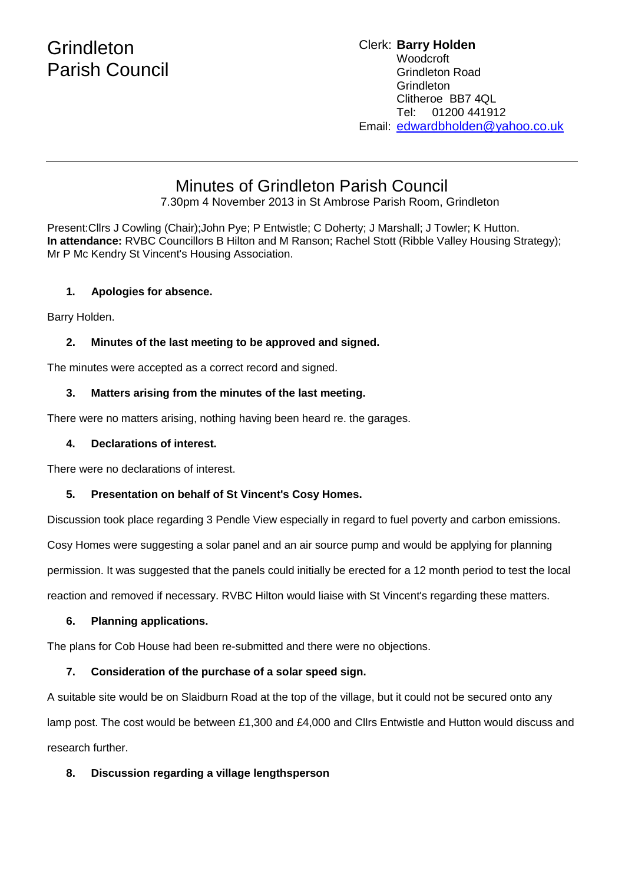# **Grindleton** Parish Council

## Clerk: **Barry Holden** Woodcroft Grindleton Road **Grindleton** Clitheroe BB7 4QL Tel: 01200 441912 Email: [edwardbholden@yahoo.co.uk](mailto:edwardbholden@yahoo.co.uk)

# Minutes of Grindleton Parish Council

7.30pm 4 November 2013 in St Ambrose Parish Room, Grindleton

Present:Cllrs J Cowling (Chair);John Pye; P Entwistle; C Doherty; J Marshall; J Towler; K Hutton. **In attendance:** RVBC Councillors B Hilton and M Ranson; Rachel Stott (Ribble Valley Housing Strategy); Mr P Mc Kendry St Vincent's Housing Association.

# **1. Apologies for absence.**

Barry Holden.

# **2. Minutes of the last meeting to be approved and signed.**

The minutes were accepted as a correct record and signed.

# **3. Matters arising from the minutes of the last meeting.**

There were no matters arising, nothing having been heard re. the garages.

# **4. Declarations of interest.**

There were no declarations of interest.

# **5. Presentation on behalf of St Vincent's Cosy Homes.**

Discussion took place regarding 3 Pendle View especially in regard to fuel poverty and carbon emissions.

Cosy Homes were suggesting a solar panel and an air source pump and would be applying for planning

permission. It was suggested that the panels could initially be erected for a 12 month period to test the local

reaction and removed if necessary. RVBC Hilton would liaise with St Vincent's regarding these matters.

## **6. Planning applications.**

The plans for Cob House had been re-submitted and there were no objections.

# **7. Consideration of the purchase of a solar speed sign.**

A suitable site would be on Slaidburn Road at the top of the village, but it could not be secured onto any lamp post. The cost would be between £1,300 and £4,000 and Cllrs Entwistle and Hutton would discuss and research further.

# **8. Discussion regarding a village lengthsperson**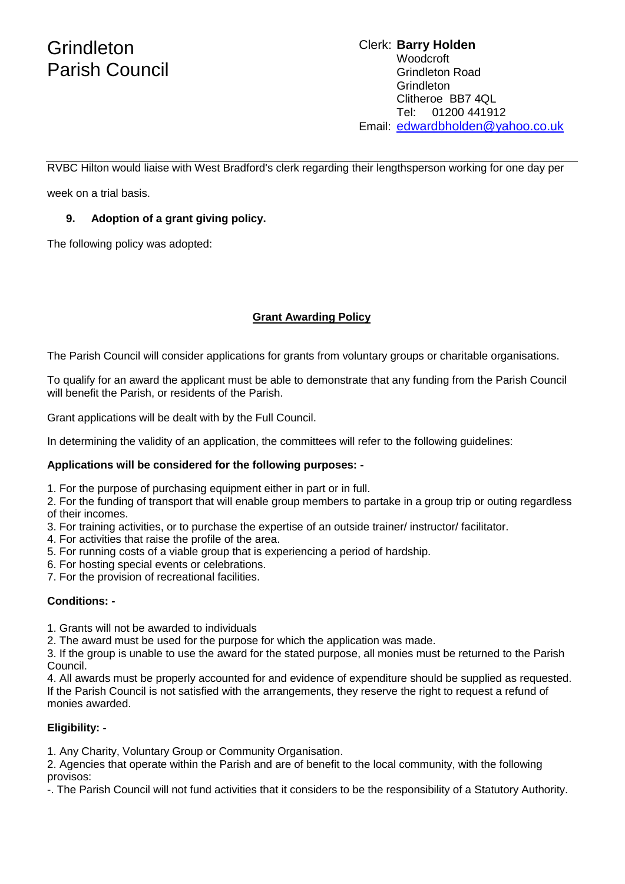# **Grindleton** Parish Council

# Clerk: **Barry Holden** Woodcroft Grindleton Road Grindleton Clitheroe BB7 4QL Tel: 01200 441912 Email: [edwardbholden@yahoo.co.uk](mailto:edwardbholden@yahoo.co.uk)

RVBC Hilton would liaise with West Bradford's clerk regarding their lengthsperson working for one day per

week on a trial basis.

# **9. Adoption of a grant giving policy.**

The following policy was adopted:

# **Grant Awarding Policy**

The Parish Council will consider applications for grants from voluntary groups or charitable organisations.

To qualify for an award the applicant must be able to demonstrate that any funding from the Parish Council will benefit the Parish, or residents of the Parish.

Grant applications will be dealt with by the Full Council.

In determining the validity of an application, the committees will refer to the following guidelines:

## **Applications will be considered for the following purposes: -**

1. For the purpose of purchasing equipment either in part or in full.

2. For the funding of transport that will enable group members to partake in a group trip or outing regardless of their incomes.

- 3. For training activities, or to purchase the expertise of an outside trainer/ instructor/ facilitator.
- 4. For activities that raise the profile of the area.
- 5. For running costs of a viable group that is experiencing a period of hardship.
- 6. For hosting special events or celebrations.
- 7. For the provision of recreational facilities.

## **Conditions: -**

1. Grants will not be awarded to individuals

2. The award must be used for the purpose for which the application was made.

3. If the group is unable to use the award for the stated purpose, all monies must be returned to the Parish Council.

4. All awards must be properly accounted for and evidence of expenditure should be supplied as requested. If the Parish Council is not satisfied with the arrangements, they reserve the right to request a refund of monies awarded.

## **Eligibility: -**

1. Any Charity, Voluntary Group or Community Organisation.

2. Agencies that operate within the Parish and are of benefit to the local community, with the following provisos:

-. The Parish Council will not fund activities that it considers to be the responsibility of a Statutory Authority.